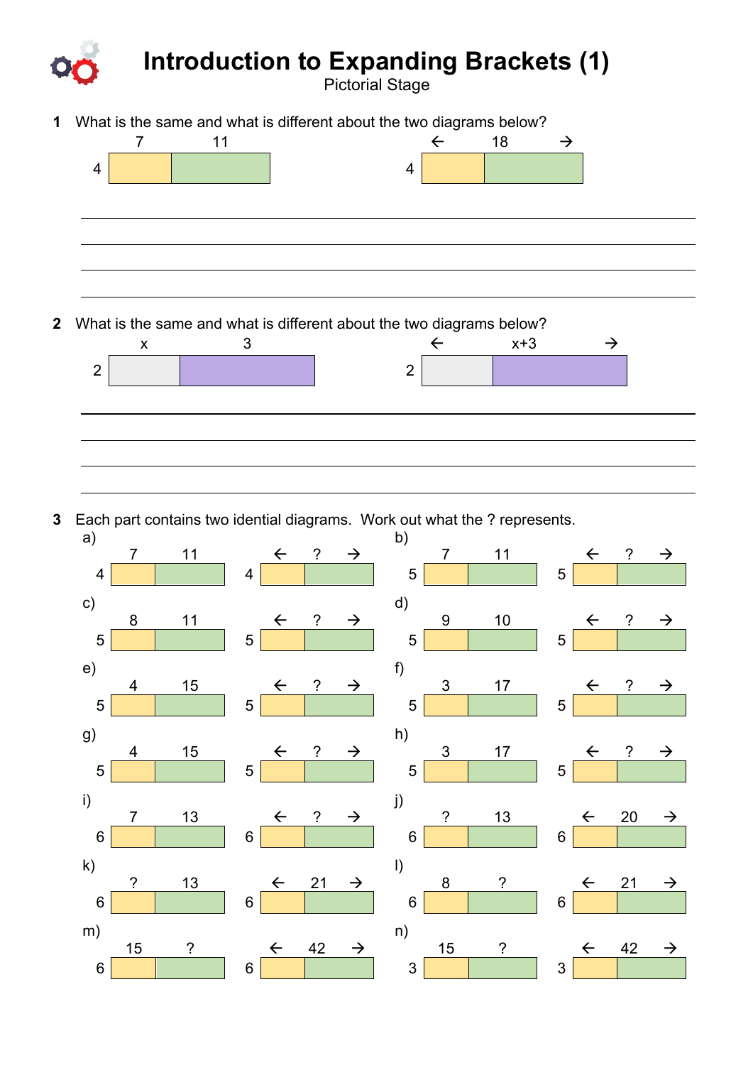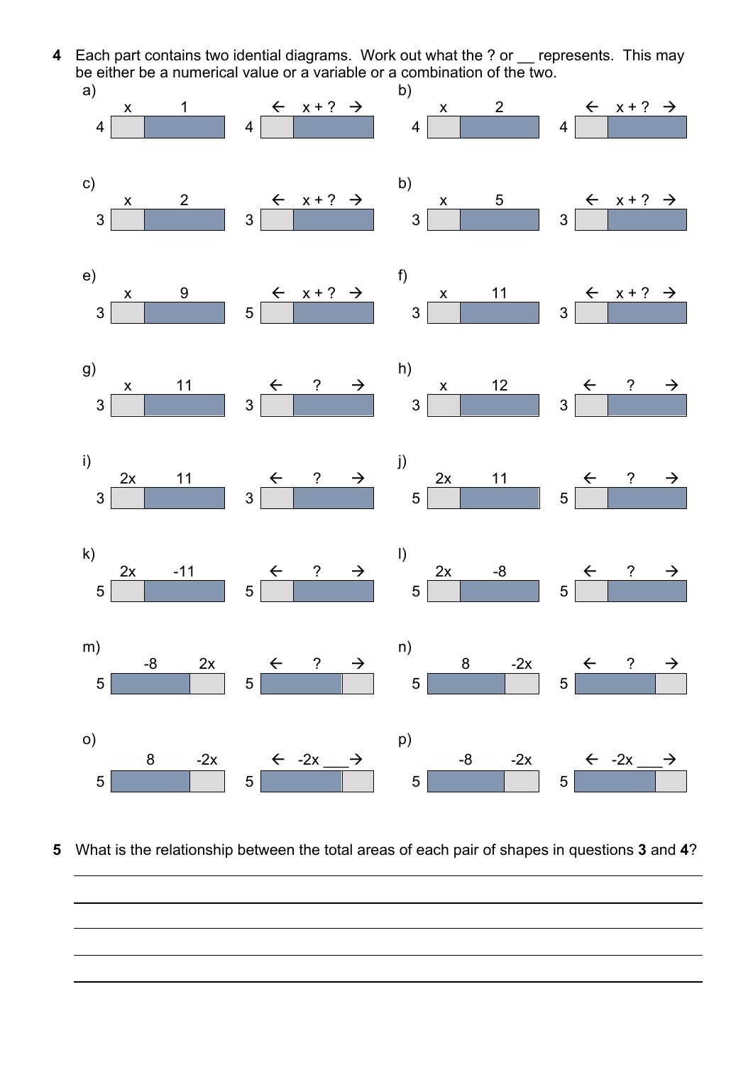**4** Each part contains two idential diagrams. Work out what the ? or \_\_ represents. This may be either be a numerical value or a variable or a combination of the two.



**5** What is the relationship between the total areas of each pair of shapes in questions **3** and **4**?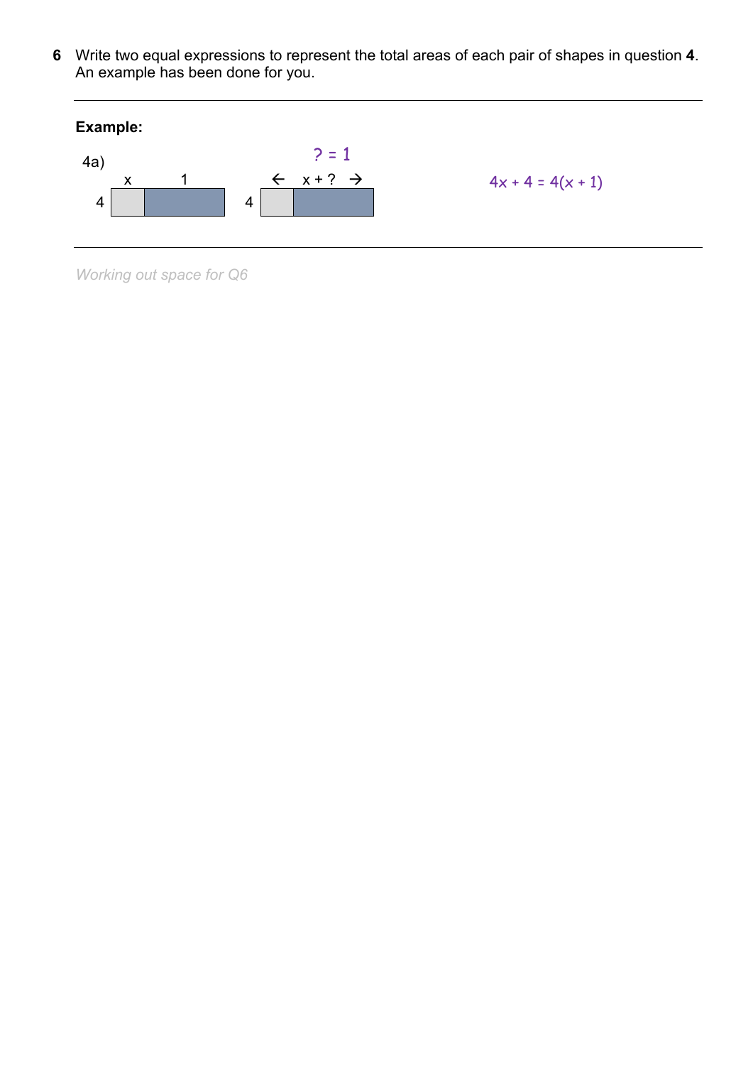6 Write two equal expressions to represent the total areas of each pair of shapes in question 4.<br>An example has been done for you.



Working out space for Q6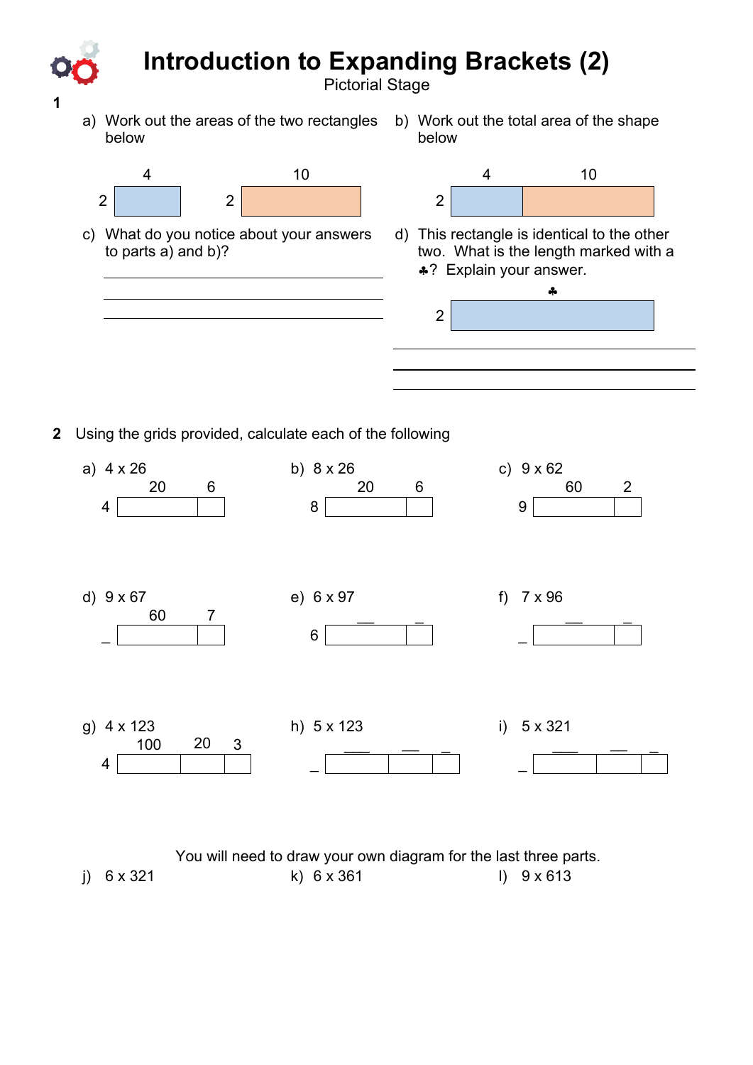## **Introduction to Expanding Brackets (2)**

Pictorial Stage

2

a) Work out the areas of the two rectangles below

**1**

b) Work out the total area of the shape below



c) What do you notice about your answers to parts a) and b)?



d) This rectangle is identical to the other two. What is the length marked with a §? Explain your answer.

§

**2** Using the grids provided, calculate each of the following

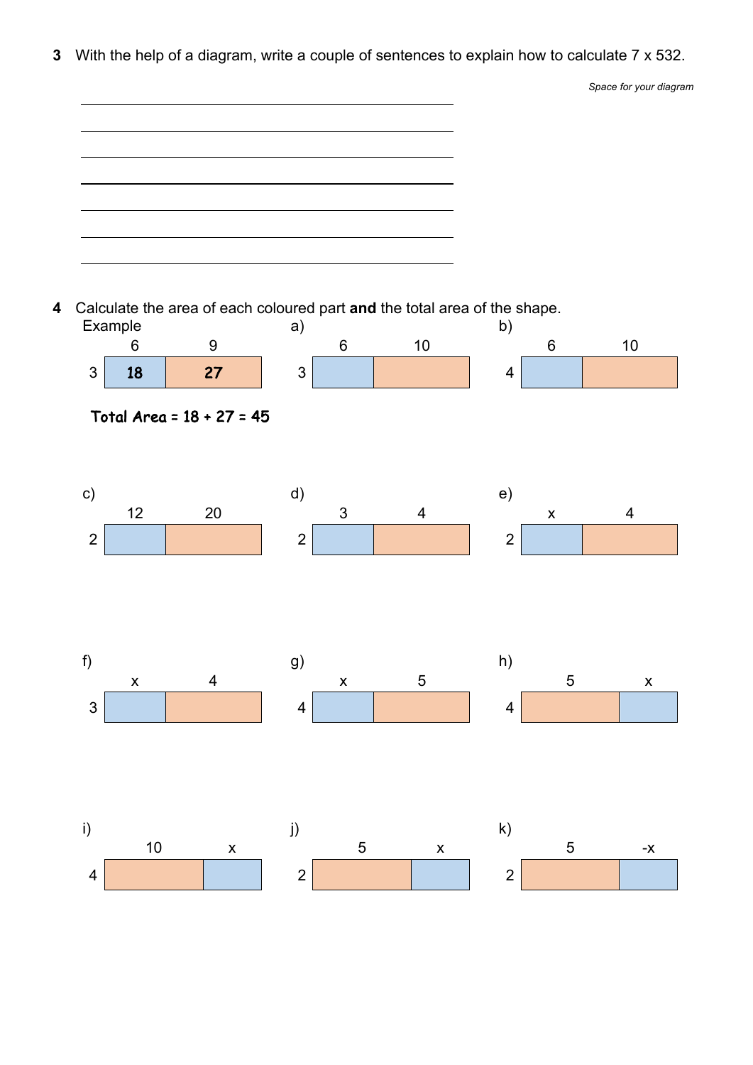**3** With the help of a diagram, write a couple of sentences to explain how to calculate 7 x 532.